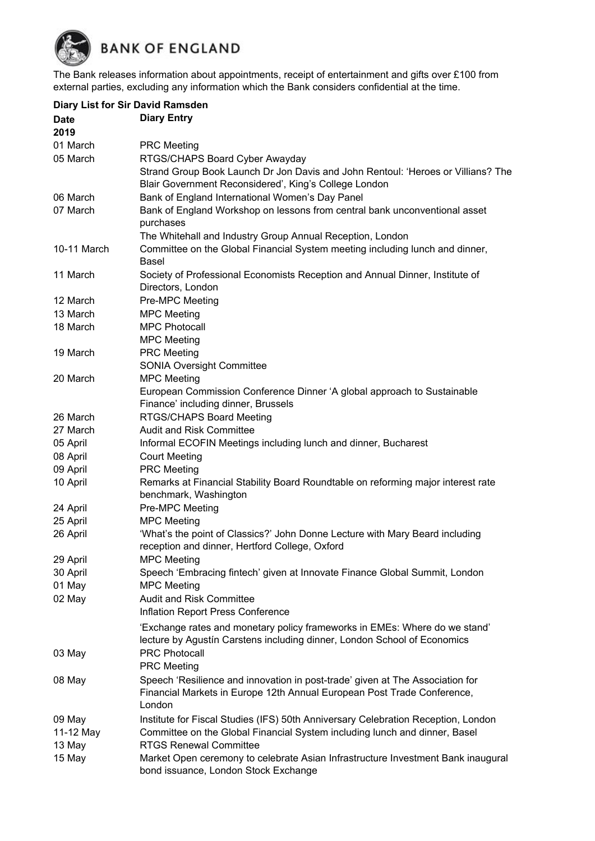**BANK OF ENGLAND** 

The Bank releases information about appointments, receipt of entertainment and gifts over £100 from external parties, excluding any information which the Bank considers confidential at the time.

|             | <b>Diary List for Sir David Ramsden</b>                                                                                                                            |  |
|-------------|--------------------------------------------------------------------------------------------------------------------------------------------------------------------|--|
| <b>Date</b> | <b>Diary Entry</b>                                                                                                                                                 |  |
| 2019        |                                                                                                                                                                    |  |
| 01 March    | <b>PRC Meeting</b>                                                                                                                                                 |  |
| 05 March    | RTGS/CHAPS Board Cyber Awayday                                                                                                                                     |  |
|             | Strand Group Book Launch Dr Jon Davis and John Rentoul: 'Heroes or Villians? The                                                                                   |  |
|             | Blair Government Reconsidered', King's College London                                                                                                              |  |
| 06 March    | Bank of England International Women's Day Panel                                                                                                                    |  |
| 07 March    | Bank of England Workshop on lessons from central bank unconventional asset                                                                                         |  |
|             | purchases                                                                                                                                                          |  |
|             | The Whitehall and Industry Group Annual Reception, London                                                                                                          |  |
| 10-11 March | Committee on the Global Financial System meeting including lunch and dinner,<br><b>Basel</b>                                                                       |  |
| 11 March    | Society of Professional Economists Reception and Annual Dinner, Institute of                                                                                       |  |
|             | Directors, London                                                                                                                                                  |  |
| 12 March    | Pre-MPC Meeting                                                                                                                                                    |  |
| 13 March    | <b>MPC Meeting</b>                                                                                                                                                 |  |
| 18 March    | <b>MPC Photocall</b>                                                                                                                                               |  |
|             | <b>MPC Meeting</b>                                                                                                                                                 |  |
| 19 March    | <b>PRC</b> Meeting                                                                                                                                                 |  |
|             | <b>SONIA Oversight Committee</b>                                                                                                                                   |  |
| 20 March    | <b>MPC Meeting</b>                                                                                                                                                 |  |
|             | European Commission Conference Dinner 'A global approach to Sustainable<br>Finance' including dinner, Brussels                                                     |  |
| 26 March    | <b>RTGS/CHAPS Board Meeting</b>                                                                                                                                    |  |
| 27 March    | <b>Audit and Risk Committee</b>                                                                                                                                    |  |
| 05 April    | Informal ECOFIN Meetings including lunch and dinner, Bucharest                                                                                                     |  |
| 08 April    | <b>Court Meeting</b>                                                                                                                                               |  |
| 09 April    | <b>PRC Meeting</b>                                                                                                                                                 |  |
| 10 April    | Remarks at Financial Stability Board Roundtable on reforming major interest rate                                                                                   |  |
|             | benchmark, Washington                                                                                                                                              |  |
| 24 April    | Pre-MPC Meeting                                                                                                                                                    |  |
| 25 April    | <b>MPC</b> Meeting                                                                                                                                                 |  |
| 26 April    | 'What's the point of Classics?' John Donne Lecture with Mary Beard including<br>reception and dinner, Hertford College, Oxford                                     |  |
| 29 April    | <b>MPC Meeting</b>                                                                                                                                                 |  |
| 30 April    | Speech 'Embracing fintech' given at Innovate Finance Global Summit, London                                                                                         |  |
| 01 May      | <b>MPC Meeting</b>                                                                                                                                                 |  |
| 02 May      | <b>Audit and Risk Committee</b>                                                                                                                                    |  |
|             | Inflation Report Press Conference                                                                                                                                  |  |
|             | 'Exchange rates and monetary policy frameworks in EMEs: Where do we stand'                                                                                         |  |
|             | lecture by Agustín Carstens including dinner, London School of Economics                                                                                           |  |
| 03 May      | <b>PRC Photocall</b>                                                                                                                                               |  |
|             | <b>PRC Meeting</b>                                                                                                                                                 |  |
|             |                                                                                                                                                                    |  |
| 08 May      | Speech 'Resilience and innovation in post-trade' given at The Association for<br>Financial Markets in Europe 12th Annual European Post Trade Conference,<br>London |  |
| 09 May      | Institute for Fiscal Studies (IFS) 50th Anniversary Celebration Reception, London                                                                                  |  |
| 11-12 May   | Committee on the Global Financial System including lunch and dinner, Basel                                                                                         |  |
| 13 May      | <b>RTGS Renewal Committee</b>                                                                                                                                      |  |
| 15 May      | Market Open ceremony to celebrate Asian Infrastructure Investment Bank inaugural                                                                                   |  |
|             | bond issuance, London Stock Exchange                                                                                                                               |  |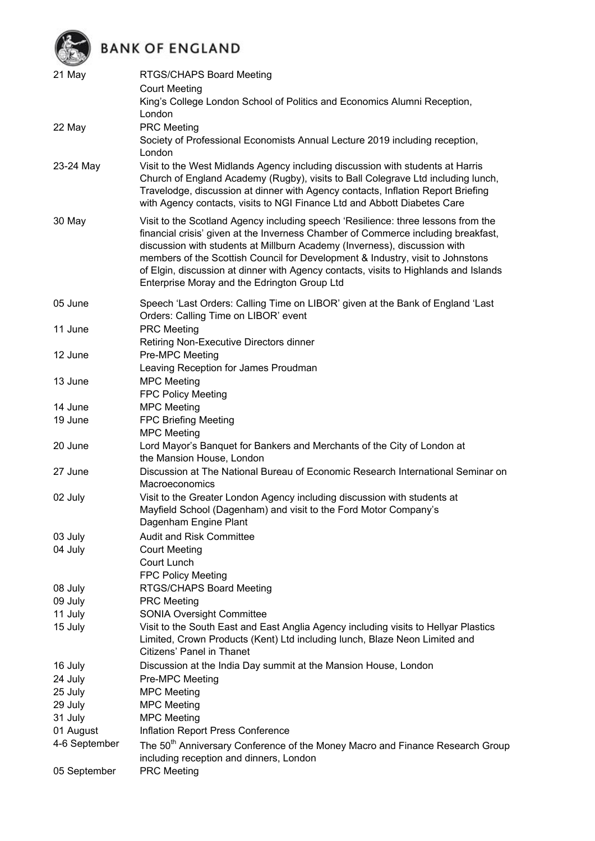## BANK OF ENGLAND

| 21 May        | RTGS/CHAPS Board Meeting<br><b>Court Meeting</b><br>King's College London School of Politics and Economics Alumni Reception,                                                                                                                                                                                                                                                                                                                                                  |  |  |
|---------------|-------------------------------------------------------------------------------------------------------------------------------------------------------------------------------------------------------------------------------------------------------------------------------------------------------------------------------------------------------------------------------------------------------------------------------------------------------------------------------|--|--|
| 22 May        | London<br><b>PRC Meeting</b>                                                                                                                                                                                                                                                                                                                                                                                                                                                  |  |  |
|               | Society of Professional Economists Annual Lecture 2019 including reception,<br>London                                                                                                                                                                                                                                                                                                                                                                                         |  |  |
| 23-24 May     | Visit to the West Midlands Agency including discussion with students at Harris<br>Church of England Academy (Rugby), visits to Ball Colegrave Ltd including lunch,<br>Travelodge, discussion at dinner with Agency contacts, Inflation Report Briefing<br>with Agency contacts, visits to NGI Finance Ltd and Abbott Diabetes Care                                                                                                                                            |  |  |
| 30 May        | Visit to the Scotland Agency including speech 'Resilience: three lessons from the<br>financial crisis' given at the Inverness Chamber of Commerce including breakfast,<br>discussion with students at Millburn Academy (Inverness), discussion with<br>members of the Scottish Council for Development & Industry, visit to Johnstons<br>of Elgin, discussion at dinner with Agency contacts, visits to Highlands and Islands<br>Enterprise Moray and the Edrington Group Ltd |  |  |
| 05 June       | Speech 'Last Orders: Calling Time on LIBOR' given at the Bank of England 'Last<br>Orders: Calling Time on LIBOR' event                                                                                                                                                                                                                                                                                                                                                        |  |  |
| 11 June       | <b>PRC</b> Meeting<br>Retiring Non-Executive Directors dinner                                                                                                                                                                                                                                                                                                                                                                                                                 |  |  |
| 12 June       | Pre-MPC Meeting<br>Leaving Reception for James Proudman                                                                                                                                                                                                                                                                                                                                                                                                                       |  |  |
| 13 June       | <b>MPC Meeting</b><br><b>FPC Policy Meeting</b>                                                                                                                                                                                                                                                                                                                                                                                                                               |  |  |
| 14 June       | <b>MPC Meeting</b>                                                                                                                                                                                                                                                                                                                                                                                                                                                            |  |  |
| 19 June       | <b>FPC Briefing Meeting</b>                                                                                                                                                                                                                                                                                                                                                                                                                                                   |  |  |
|               | <b>MPC Meeting</b>                                                                                                                                                                                                                                                                                                                                                                                                                                                            |  |  |
| 20 June       | Lord Mayor's Banquet for Bankers and Merchants of the City of London at<br>the Mansion House, London                                                                                                                                                                                                                                                                                                                                                                          |  |  |
| 27 June       | Discussion at The National Bureau of Economic Research International Seminar on<br>Macroeconomics                                                                                                                                                                                                                                                                                                                                                                             |  |  |
| 02 July       | Visit to the Greater London Agency including discussion with students at<br>Mayfield School (Dagenham) and visit to the Ford Motor Company's<br>Dagenham Engine Plant                                                                                                                                                                                                                                                                                                         |  |  |
| 03 July       | <b>Audit and Risk Committee</b>                                                                                                                                                                                                                                                                                                                                                                                                                                               |  |  |
| 04 July       | <b>Court Meeting</b><br>Court Lunch                                                                                                                                                                                                                                                                                                                                                                                                                                           |  |  |
|               | <b>FPC Policy Meeting</b>                                                                                                                                                                                                                                                                                                                                                                                                                                                     |  |  |
| 08 July       | RTGS/CHAPS Board Meeting                                                                                                                                                                                                                                                                                                                                                                                                                                                      |  |  |
| 09 July       | <b>PRC Meeting</b>                                                                                                                                                                                                                                                                                                                                                                                                                                                            |  |  |
| 11 July       | <b>SONIA Oversight Committee</b>                                                                                                                                                                                                                                                                                                                                                                                                                                              |  |  |
| 15 July       | Visit to the South East and East Anglia Agency including visits to Hellyar Plastics                                                                                                                                                                                                                                                                                                                                                                                           |  |  |
|               | Limited, Crown Products (Kent) Ltd including lunch, Blaze Neon Limited and<br>Citizens' Panel in Thanet                                                                                                                                                                                                                                                                                                                                                                       |  |  |
| 16 July       | Discussion at the India Day summit at the Mansion House, London                                                                                                                                                                                                                                                                                                                                                                                                               |  |  |
| 24 July       | Pre-MPC Meeting                                                                                                                                                                                                                                                                                                                                                                                                                                                               |  |  |
| 25 July       | <b>MPC Meeting</b>                                                                                                                                                                                                                                                                                                                                                                                                                                                            |  |  |
| 29 July       | <b>MPC Meeting</b>                                                                                                                                                                                                                                                                                                                                                                                                                                                            |  |  |
| 31 July       | <b>MPC Meeting</b>                                                                                                                                                                                                                                                                                                                                                                                                                                                            |  |  |
| 01 August     | Inflation Report Press Conference                                                                                                                                                                                                                                                                                                                                                                                                                                             |  |  |
| 4-6 September | The 50 <sup>th</sup> Anniversary Conference of the Money Macro and Finance Research Group<br>including reception and dinners, London                                                                                                                                                                                                                                                                                                                                          |  |  |
| 05 September  | <b>PRC Meeting</b>                                                                                                                                                                                                                                                                                                                                                                                                                                                            |  |  |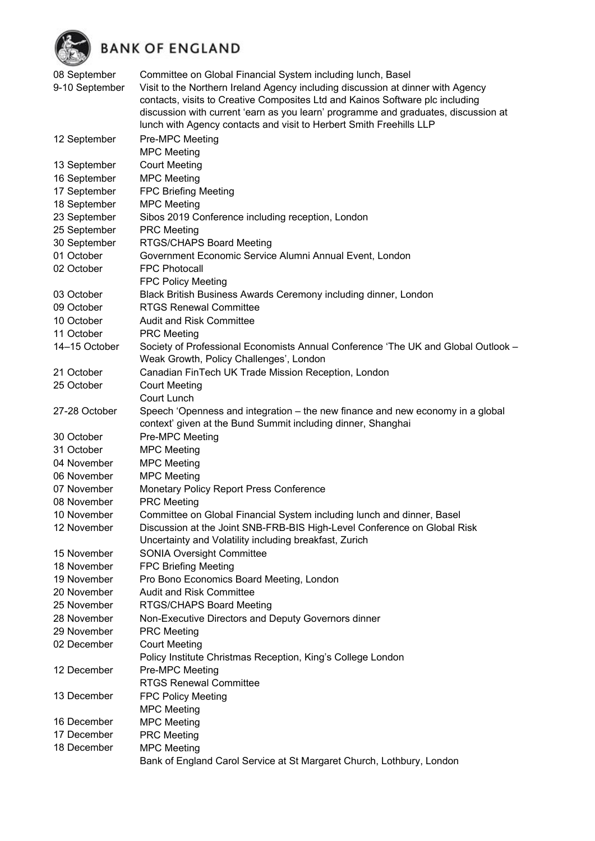

**BANK OF ENGLAND** 

| $\overline{\phantom{a}}$ |                                                                                    |
|--------------------------|------------------------------------------------------------------------------------|
| 08 September             | Committee on Global Financial System including lunch, Basel                        |
| 9-10 September           | Visit to the Northern Ireland Agency including discussion at dinner with Agency    |
|                          | contacts, visits to Creative Composites Ltd and Kainos Software plc including      |
|                          | discussion with current 'earn as you learn' programme and graduates, discussion at |
|                          | lunch with Agency contacts and visit to Herbert Smith Freehills LLP                |
| 12 September             | Pre-MPC Meeting                                                                    |
|                          | <b>MPC Meeting</b>                                                                 |
| 13 September             | <b>Court Meeting</b>                                                               |
| 16 September             | <b>MPC Meeting</b>                                                                 |
| 17 September             | <b>FPC Briefing Meeting</b>                                                        |
| 18 September             | <b>MPC Meeting</b>                                                                 |
| 23 September             | Sibos 2019 Conference including reception, London                                  |
| 25 September             | <b>PRC Meeting</b>                                                                 |
| 30 September             | RTGS/CHAPS Board Meeting                                                           |
| 01 October               | Government Economic Service Alumni Annual Event, London                            |
| 02 October               | <b>FPC Photocall</b>                                                               |
|                          | <b>FPC Policy Meeting</b>                                                          |
| 03 October               | Black British Business Awards Ceremony including dinner, London                    |
| 09 October               | <b>RTGS Renewal Committee</b>                                                      |
| 10 October               | <b>Audit and Risk Committee</b>                                                    |
| 11 October               | <b>PRC Meeting</b>                                                                 |
| 14-15 October            | Society of Professional Economists Annual Conference 'The UK and Global Outlook -  |
|                          | Weak Growth, Policy Challenges', London                                            |
| 21 October               | Canadian FinTech UK Trade Mission Reception, London                                |
| 25 October               | <b>Court Meeting</b>                                                               |
|                          | Court Lunch                                                                        |
| 27-28 October            | Speech 'Openness and integration – the new finance and new economy in a global     |
|                          | context' given at the Bund Summit including dinner, Shanghai                       |
| 30 October               | Pre-MPC Meeting                                                                    |
| 31 October               | <b>MPC Meeting</b>                                                                 |
| 04 November              | <b>MPC Meeting</b>                                                                 |
| 06 November              | <b>MPC Meeting</b>                                                                 |
| 07 November              | <b>Monetary Policy Report Press Conference</b>                                     |
| 08 November              | <b>PRC</b> Meeting                                                                 |
| 10 November              | Committee on Global Financial System including lunch and dinner, Basel             |
| 12 November              | Discussion at the Joint SNB-FRB-BIS High-Level Conference on Global Risk           |
|                          | Uncertainty and Volatility including breakfast, Zurich                             |
| 15 November              | <b>SONIA Oversight Committee</b>                                                   |
| 18 November              | <b>FPC Briefing Meeting</b>                                                        |
| 19 November              | Pro Bono Economics Board Meeting, London                                           |
| 20 November              | <b>Audit and Risk Committee</b>                                                    |
| 25 November              | RTGS/CHAPS Board Meeting                                                           |
| 28 November              | Non-Executive Directors and Deputy Governors dinner                                |
| 29 November              | <b>PRC Meeting</b>                                                                 |
| 02 December              | <b>Court Meeting</b>                                                               |
|                          | Policy Institute Christmas Reception, King's College London                        |
| 12 December              | Pre-MPC Meeting                                                                    |
|                          | <b>RTGS Renewal Committee</b>                                                      |
| 13 December              | <b>FPC Policy Meeting</b>                                                          |
| 16 December              | <b>MPC Meeting</b><br><b>MPC Meeting</b>                                           |
| 17 December              | <b>PRC</b> Meeting                                                                 |
| 18 December              | <b>MPC Meeting</b>                                                                 |
|                          | Bank of England Carol Service at St Margaret Church, Lothbury, London              |
|                          |                                                                                    |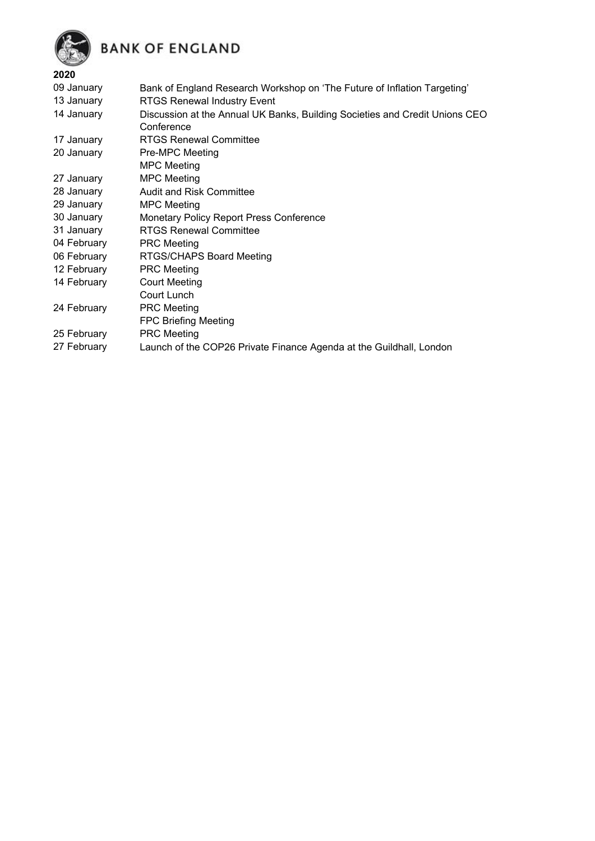



## **2020**

| 09 January  | Bank of England Research Workshop on 'The Future of Inflation Targeting'                  |
|-------------|-------------------------------------------------------------------------------------------|
| 13 January  | <b>RTGS Renewal Industry Event</b>                                                        |
| 14 January  | Discussion at the Annual UK Banks, Building Societies and Credit Unions CEO<br>Conference |
| 17 January  | <b>RTGS Renewal Committee</b>                                                             |
| 20 January  | Pre-MPC Meeting                                                                           |
|             | <b>MPC Meeting</b>                                                                        |
| 27 January  | <b>MPC Meeting</b>                                                                        |
| 28 January  | Audit and Risk Committee                                                                  |
| 29 January  | <b>MPC Meeting</b>                                                                        |
| 30 January  | Monetary Policy Report Press Conference                                                   |
| 31 January  | <b>RTGS Renewal Committee</b>                                                             |
| 04 February | <b>PRC</b> Meeting                                                                        |
| 06 February | RTGS/CHAPS Board Meeting                                                                  |
| 12 February | <b>PRC</b> Meeting                                                                        |
| 14 February | <b>Court Meeting</b>                                                                      |
|             | Court Lunch                                                                               |
| 24 February | <b>PRC Meeting</b>                                                                        |
|             | <b>FPC Briefing Meeting</b>                                                               |
| 25 February | <b>PRC Meeting</b>                                                                        |
| 27 February | Launch of the COP26 Private Finance Agenda at the Guildhall, London                       |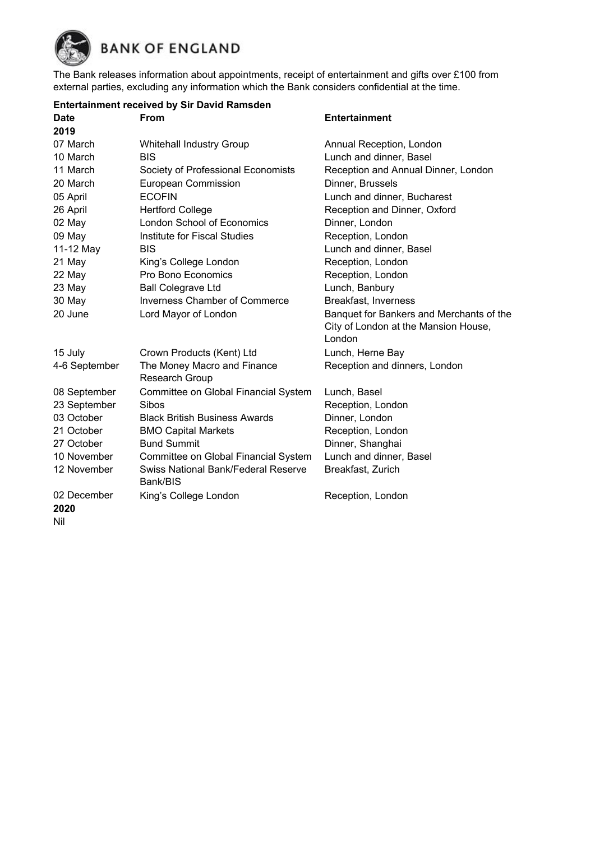

The Bank releases information about appointments, receipt of entertainment and gifts over £100 from external parties, excluding any information which the Bank considers confidential at the time.

|                     | <b>Entertainment received by Sir David Ramsden</b>     |                                          |
|---------------------|--------------------------------------------------------|------------------------------------------|
| <b>Date</b>         | <b>From</b>                                            | <b>Entertainment</b>                     |
| 2019                |                                                        |                                          |
| 07 March            | <b>Whitehall Industry Group</b>                        | Annual Reception, London                 |
| 10 March            | <b>BIS</b>                                             | Lunch and dinner, Basel                  |
| 11 March            | Society of Professional Economists                     | Reception and Annual Dinner, London      |
| 20 March            | <b>European Commission</b>                             | Dinner, Brussels                         |
| 05 April            | <b>ECOFIN</b>                                          | Lunch and dinner, Bucharest              |
| 26 April            | <b>Hertford College</b>                                | Reception and Dinner, Oxford             |
| 02 May              | <b>London School of Economics</b>                      | Dinner, London                           |
| 09 May              | Institute for Fiscal Studies                           | Reception, London                        |
| 11-12 May           | <b>BIS</b>                                             | Lunch and dinner, Basel                  |
| 21 May              | King's College London                                  | Reception, London                        |
| 22 May              | Pro Bono Economics                                     | Reception, London                        |
| 23 May              | <b>Ball Colegrave Ltd</b>                              | Lunch, Banbury                           |
| 30 May              | <b>Inverness Chamber of Commerce</b>                   | <b>Breakfast, Inverness</b>              |
| 20 June             | Lord Mayor of London                                   | Banquet for Bankers and Merchants of the |
|                     |                                                        | City of London at the Mansion House,     |
|                     |                                                        | London                                   |
| 15 July             | Crown Products (Kent) Ltd                              | Lunch, Herne Bay                         |
| 4-6 September       | The Money Macro and Finance<br>Research Group          | Reception and dinners, London            |
| 08 September        | Committee on Global Financial System                   | Lunch, Basel                             |
| 23 September        | Sibos                                                  | Reception, London                        |
| 03 October          | <b>Black British Business Awards</b>                   | Dinner, London                           |
| 21 October          | <b>BMO Capital Markets</b>                             | Reception, London                        |
| 27 October          | <b>Bund Summit</b>                                     | Dinner, Shanghai                         |
| 10 November         | Committee on Global Financial System                   | Lunch and dinner, Basel                  |
| 12 November         | <b>Swiss National Bank/Federal Reserve</b><br>Bank/BIS | Breakfast, Zurich                        |
| 02 December<br>2020 | King's College London                                  | Reception, London                        |

Nil